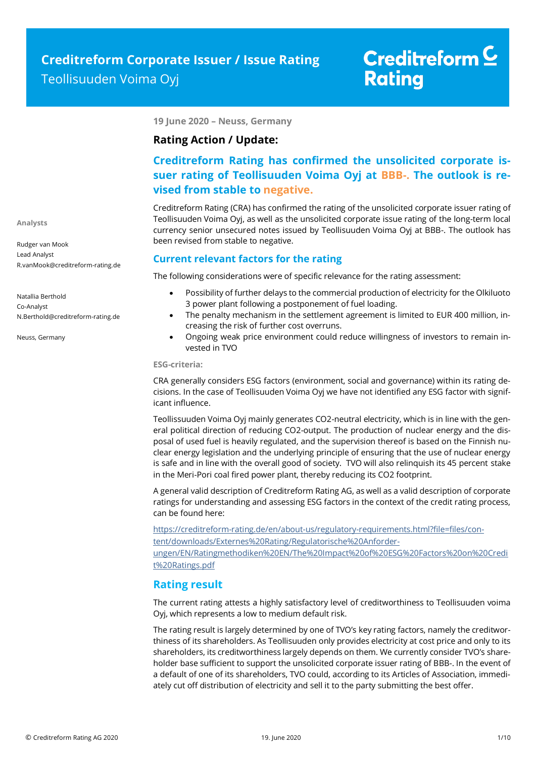**19 June 2020 – Neuss, Germany**

## **Rating Action / Update:**

## **Creditreform Rating has confirmed the unsolicited corporate issuer rating of Teollisuuden Voima Oyj at BBB-. The outlook is revised from stable to negative.**

Creditreform Rating (CRA) has confirmed the rating of the unsolicited corporate issuer rating of Teollisuuden Voima Oyj, as well as the unsolicited corporate issue rating of the long-term local currency senior unsecured notes issued by Teollisuuden Voima Oyj at BBB-. The outlook has been revised from stable to negative.

## **Current relevant factors for the rating**

The following considerations were of specific relevance for the rating assessment:

- Possibility of further delays to the commercial production of electricity for the Olkiluoto 3 power plant following a postponement of fuel loading.
- The penalty mechanism in the settlement agreement is limited to EUR 400 million, increasing the risk of further cost overruns.
- Ongoing weak price environment could reduce willingness of investors to remain invested in TVO

#### **ESG-criteria:**

CRA generally considers ESG factors (environment, social and governance) within its rating decisions. In the case of Teollisuuden Voima Oyj we have not identified any ESG factor with significant influence.

Teollissuuden Voima Oyj mainly generates CO2-neutral electricity, which is in line with the general political direction of reducing CO2-output. The production of nuclear energy and the disposal of used fuel is heavily regulated, and the supervision thereof is based on the Finnish nuclear energy legislation and the underlying principle of ensuring that the use of nuclear energy is safe and in line with the overall good of society. TVO will also relinquish its 45 percent stake in the Meri-Pori coal fired power plant, thereby reducing its CO2 footprint.

A general valid description of Creditreform Rating AG, as well as a valid description of corporate ratings for understanding and assessing ESG factors in the context of the credit rating process, can be found here:

https://creditreform-rating.de/en/about-us/regulatory-requirements.html?file=files/content/downloads/Externes%20Rating/Regulatorische%20Anforderungen/EN/Ratingmethodiken%20EN/The%20Impact%20of%20ESG%20Factors%20on%20Credi t%20Ratings.pdf

## **Rating result**

The current rating attests a highly satisfactory level of creditworthiness to Teollisuuden voima Oyj, which represents a low to medium default risk.

The rating result is largely determined by one of TVO's key rating factors, namely the creditworthiness of its shareholders. As Teollisuuden only provides electricity at cost price and only to its shareholders, its creditworthiness largely depends on them. We currently consider TVO's shareholder base sufficient to support the unsolicited corporate issuer rating of BBB-. In the event of a default of one of its shareholders, TVO could, according to its Articles of Association, immediately cut off distribution of electricity and sell it to the party submitting the best offer.

**Analysts**

Rudger van Mook Lead Analyst R.vanMook@creditreform-rating.de

Natallia Berthold Co-Analyst N.Berthold@creditreform-rating.de

Neuss, Germany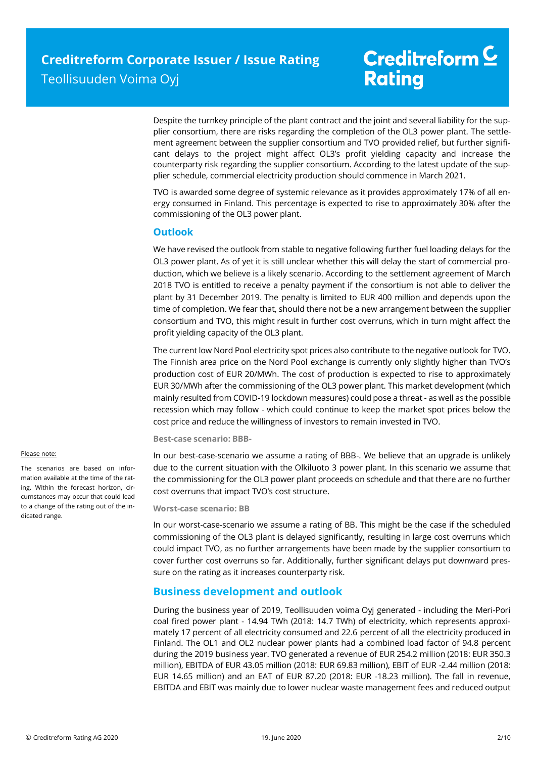Despite the turnkey principle of the plant contract and the joint and several liability for the supplier consortium, there are risks regarding the completion of the OL3 power plant. The settlement agreement between the supplier consortium and TVO provided relief, but further significant delays to the project might affect OL3's profit yielding capacity and increase the counterparty risk regarding the supplier consortium. According to the latest update of the supplier schedule, commercial electricity production should commence in March 2021.

TVO is awarded some degree of systemic relevance as it provides approximately 17% of all energy consumed in Finland. This percentage is expected to rise to approximately 30% after the commissioning of the OL3 power plant.

## **Outlook**

We have revised the outlook from stable to negative following further fuel loading delays for the OL3 power plant. As of yet it is still unclear whether this will delay the start of commercial production, which we believe is a likely scenario. According to the settlement agreement of March 2018 TVO is entitled to receive a penalty payment if the consortium is not able to deliver the plant by 31 December 2019. The penalty is limited to EUR 400 million and depends upon the time of completion. We fear that, should there not be a new arrangement between the supplier consortium and TVO, this might result in further cost overruns, which in turn might affect the profit yielding capacity of the OL3 plant.

The current low Nord Pool electricity spot prices also contribute to the negative outlook for TVO. The Finnish area price on the Nord Pool exchange is currently only slightly higher than TVO's production cost of EUR 20/MWh. The cost of production is expected to rise to approximately EUR 30/MWh after the commissioning of the OL3 power plant. This market development (which mainly resulted from COVID-19 lockdown measures) could pose a threat - as well as the possible recession which may follow - which could continue to keep the market spot prices below the cost price and reduce the willingness of investors to remain invested in TVO.

### **Best-case scenario: BBB-**

In our best-case-scenario we assume a rating of BBB-. We believe that an upgrade is unlikely due to the current situation with the Olkiluoto 3 power plant. In this scenario we assume that the commissioning for the OL3 power plant proceeds on schedule and that there are no further cost overruns that impact TVO's cost structure.

### **Worst-case scenario: BB**

In our worst-case-scenario we assume a rating of BB. This might be the case if the scheduled commissioning of the OL3 plant is delayed significantly, resulting in large cost overruns which could impact TVO, as no further arrangements have been made by the supplier consortium to cover further cost overruns so far. Additionally, further significant delays put downward pressure on the rating as it increases counterparty risk.

## **Business development and outlook**

During the business year of 2019, Teollisuuden voima Oyj generated - including the Meri-Pori coal fired power plant - 14.94 TWh (2018: 14.7 TWh) of electricity, which represents approximately 17 percent of all electricity consumed and 22.6 percent of all the electricity produced in Finland. The OL1 and OL2 nuclear power plants had a combined load factor of 94.8 percent during the 2019 business year. TVO generated a revenue of EUR 254.2 million (2018: EUR 350.3 million), EBITDA of EUR 43.05 million (2018: EUR 69.83 million), EBIT of EUR -2.44 million (2018: EUR 14.65 million) and an EAT of EUR 87.20 (2018: EUR -18.23 million). The fall in revenue, EBITDA and EBIT was mainly due to lower nuclear waste management fees and reduced output

#### Please note:

The scenarios are based on information available at the time of the rating. Within the forecast horizon, circumstances may occur that could lead to a change of the rating out of the indicated range.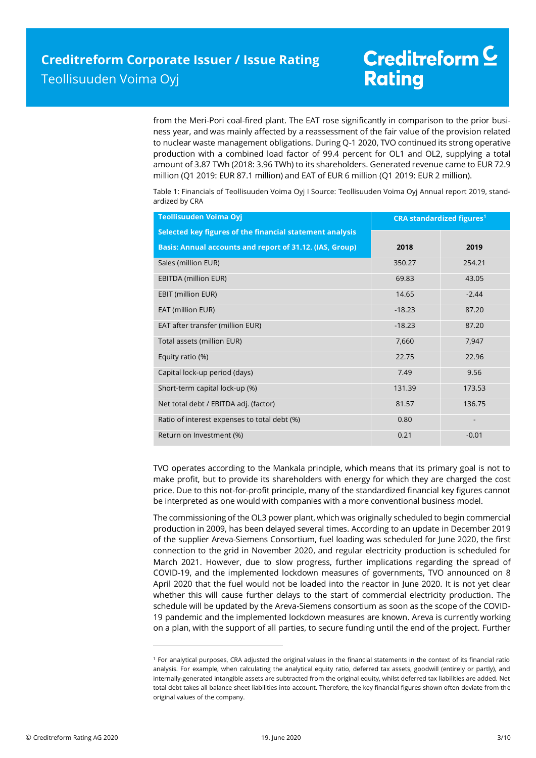from the Meri-Pori coal-fired plant. The EAT rose significantly in comparison to the prior business year, and was mainly affected by a reassessment of the fair value of the provision related to nuclear waste management obligations. During Q-1 2020, TVO continued its strong operative production with a combined load factor of 99.4 percent for OL1 and OL2, supplying a total amount of 3.87 TWh (2018: 3.96 TWh) to its shareholders. Generated revenue came to EUR 72.9 million (Q1 2019: EUR 87.1 million) and EAT of EUR 6 million (Q1 2019: EUR 2 million).

| Table 1: Financials of Teollisuuden Voima Oyi I Source: Teollisuuden Voima Oyi Annual report 2019, stand- |                                         |
|-----------------------------------------------------------------------------------------------------------|-----------------------------------------|
| ardized by CRA                                                                                            |                                         |
| $\Gamma$ aallisuuden Vainaa Oui                                                                           | participants of the control of the con- |

| <b>Teollisuuden Voima Oyj</b>                            | <b>CRA</b> standardized figures <sup>1</sup> |         |
|----------------------------------------------------------|----------------------------------------------|---------|
| Selected key figures of the financial statement analysis |                                              |         |
| Basis: Annual accounts and report of 31.12. (IAS, Group) | 2018                                         | 2019    |
| Sales (million EUR)                                      | 350.27                                       | 254.21  |
| <b>EBITDA (million EUR)</b>                              | 69.83                                        | 43.05   |
| EBIT (million EUR)                                       | 14.65                                        | $-2.44$ |
| EAT (million EUR)                                        | $-18.23$                                     | 87.20   |
| EAT after transfer (million EUR)                         | $-18.23$                                     | 87.20   |
| Total assets (million EUR)                               | 7,660                                        | 7,947   |
| Equity ratio (%)                                         | 22.75                                        | 22.96   |
| Capital lock-up period (days)                            | 7.49                                         | 9.56    |
| Short-term capital lock-up (%)                           | 131.39                                       | 173.53  |
| Net total debt / EBITDA adj. (factor)                    | 81.57                                        | 136.75  |
| Ratio of interest expenses to total debt (%)             | 0.80                                         |         |
| Return on Investment (%)                                 | 0.21                                         | $-0.01$ |

TVO operates according to the Mankala principle, which means that its primary goal is not to make profit, but to provide its shareholders with energy for which they are charged the cost price. Due to this not-for-profit principle, many of the standardized financial key figures cannot be interpreted as one would with companies with a more conventional business model.

The commissioning of the OL3 power plant, which was originally scheduled to begin commercial production in 2009, has been delayed several times. According to an update in December 2019 of the supplier Areva-Siemens Consortium, fuel loading was scheduled for June 2020, the first connection to the grid in November 2020, and regular electricity production is scheduled for March 2021. However, due to slow progress, further implications regarding the spread of COVID-19, and the implemented lockdown measures of governments, TVO announced on 8 April 2020 that the fuel would not be loaded into the reactor in June 2020. It is not yet clear whether this will cause further delays to the start of commercial electricity production. The schedule will be updated by the Areva-Siemens consortium as soon as the scope of the COVID-19 pandemic and the implemented lockdown measures are known. Areva is currently working on a plan, with the support of all parties, to secure funding until the end of the project. Further

 $\overline{\phantom{a}}$ 

<sup>1</sup> For analytical purposes, CRA adjusted the original values in the financial statements in the context of its financial ratio analysis. For example, when calculating the analytical equity ratio, deferred tax assets, goodwill (entirely or partly), and internally-generated intangible assets are subtracted from the original equity, whilst deferred tax liabilities are added. Net total debt takes all balance sheet liabilities into account. Therefore, the key financial figures shown often deviate from the original values of the company.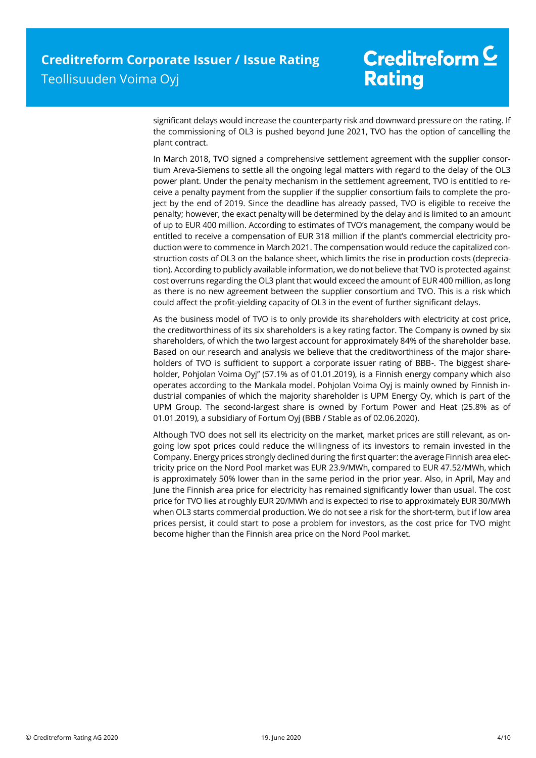significant delays would increase the counterparty risk and downward pressure on the rating. If the commissioning of OL3 is pushed beyond June 2021, TVO has the option of cancelling the plant contract.

In March 2018, TVO signed a comprehensive settlement agreement with the supplier consortium Areva-Siemens to settle all the ongoing legal matters with regard to the delay of the OL3 power plant. Under the penalty mechanism in the settlement agreement, TVO is entitled to receive a penalty payment from the supplier if the supplier consortium fails to complete the project by the end of 2019. Since the deadline has already passed, TVO is eligible to receive the penalty; however, the exact penalty will be determined by the delay and is limited to an amount of up to EUR 400 million. According to estimates of TVO's management, the company would be entitled to receive a compensation of EUR 318 million if the plant's commercial electricity production were to commence in March 2021. The compensation would reduce the capitalized construction costs of OL3 on the balance sheet, which limits the rise in production costs (depreciation). According to publicly available information, we do not believe that TVO is protected against cost overruns regarding the OL3 plant that would exceed the amount of EUR 400 million, as long as there is no new agreement between the supplier consortium and TVO. This is a risk which could affect the profit-yielding capacity of OL3 in the event of further significant delays.

As the business model of TVO is to only provide its shareholders with electricity at cost price, the creditworthiness of its six shareholders is a key rating factor. The Company is owned by six shareholders, of which the two largest account for approximately 84% of the shareholder base. Based on our research and analysis we believe that the creditworthiness of the major shareholders of TVO is sufficient to support a corporate issuer rating of BBB-. The biggest shareholder, Pohjolan Voima Oyj'' (57.1% as of 01.01.2019), is a Finnish energy company which also operates according to the Mankala model. Pohjolan Voima Oyj is mainly owned by Finnish industrial companies of which the majority shareholder is UPM Energy Oy, which is part of the UPM Group. The second-largest share is owned by Fortum Power and Heat (25.8% as of 01.01.2019), a subsidiary of Fortum Oyj (BBB / Stable as of 02.06.2020).

Although TVO does not sell its electricity on the market, market prices are still relevant, as ongoing low spot prices could reduce the willingness of its investors to remain invested in the Company. Energy prices strongly declined during the first quarter: the average Finnish area electricity price on the Nord Pool market was EUR 23.9/MWh, compared to EUR 47.52/MWh, which is approximately 50% lower than in the same period in the prior year. Also, in April, May and June the Finnish area price for electricity has remained significantly lower than usual. The cost price for TVO lies at roughly EUR 20/MWh and is expected to rise to approximately EUR 30/MWh when OL3 starts commercial production. We do not see a risk for the short-term, but if low area prices persist, it could start to pose a problem for investors, as the cost price for TVO might become higher than the Finnish area price on the Nord Pool market.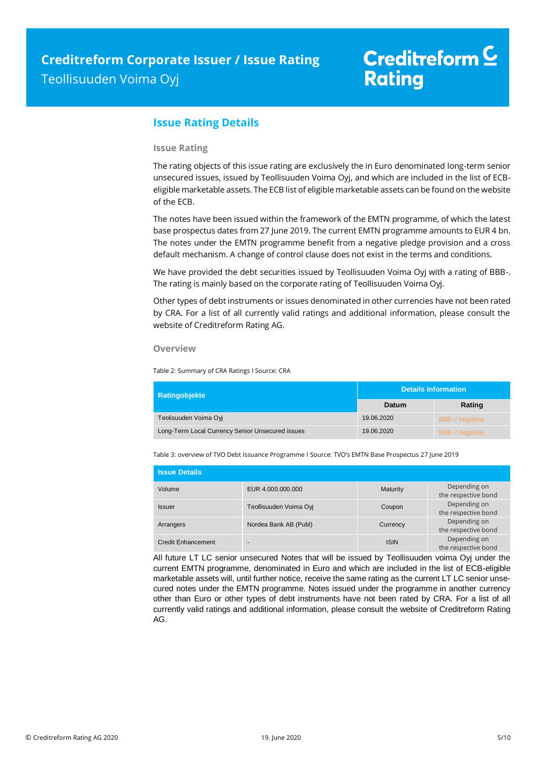## **Issue Rating Details**

### **Issue Rating**

The rating objects of this issue rating are exclusively the in Euro denominated long-term senior unsecured issues, issued by Teollisuuden Voima Oyj, and which are included in the list of ECBeligible marketable assets. The ECB list of eligible marketable assets can be found on the website of the ECB.

The notes have been issued within the framework of the EMTN programme, of which the latest base prospectus dates from 27 June 2019. The current EMTN programme amounts to EUR 4 bn. The notes under the EMTN programme benefit from a negative pledge provision and a cross default mechanism. A change of control clause does not exist in the terms and conditions.

We have provided the debt securities issued by Teollisuuden Voima Oyi with a rating of BBB-. The rating is mainly based on the corporate rating of Teollisuuden Voima Oyj.

Other types of debt instruments or issues denominated in other currencies have not been rated by CRA. For a list of all currently valid ratings and additional information, please consult the website of Creditreform Rating AG.

### **Overview**

Table 2: Summary of CRA Ratings l Source: CRA

| <b>Ratingobjekte</b>                             | <b>Details Information</b> |                 |
|--------------------------------------------------|----------------------------|-----------------|
|                                                  | Datum                      | Rating          |
| Teolisuuden Voima Ovi                            | 19.06.2020                 | BBB- / negative |
| Long-Term Local Currency Senior Unsecured issues | 19.06.2020                 | BBB- / negative |

Table 3: overview of TVO Debt Issuance Programme I Source: TVO's EMTN Base Prospectus 27 June 2019

| <b>Issue Details</b> |                        |             |                                     |
|----------------------|------------------------|-------------|-------------------------------------|
| Volume               | EUR 4.000.000.000      | Maturity    | Depending on<br>the respective bond |
| <b>Issuer</b>        | Teollisuuden Voima Oyi | Coupon      | Depending on<br>the respective bond |
| Arrangers            | Nordea Bank AB (Publ)  | Currency    | Depending on<br>the respective bond |
| Credit Enhancement   | -                      | <b>ISIN</b> | Depending on<br>the respective bond |

All future LT LC senior unsecured Notes that will be issued by Teollisuuden voima Oyj under the current EMTN programme, denominated in Euro and which are included in the list of ECB-eligible marketable assets will, until further notice, receive the same rating as the current LT LC senior unsecured notes under the EMTN programme. Notes issued under the programme in another currency other than Euro or other types of debt instruments have not been rated by CRA. For a list of all currently valid ratings and additional information, please consult the website of Creditreform Rating AG.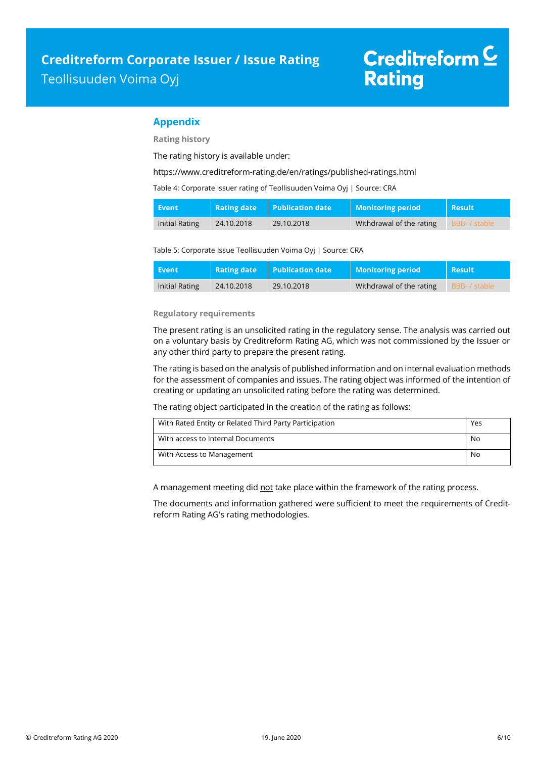## **Appendix**

**Rating history**

The rating history is available under:

<https://www.creditreform-rating.de/en/ratings/published-ratings.html>

Table 4: Corporate issuer rating of Teollisuuden Voima Oyj | Source: CRA

| Event          | <b>Rating date</b> | $\mid$ Publication date | <b>Monitoring period</b> | <b>Result</b> |
|----------------|--------------------|-------------------------|--------------------------|---------------|
| Initial Rating | 24.10.2018         | 29.10.2018              | Withdrawal of the rating | BBB- / stable |

Table 5: Corporate Issue Teollisuuden Voima Oyj | Source: CRA

| Event          | <b>Rating date</b> | <b>Publication date</b> | Monitoring period        | Result        |
|----------------|--------------------|-------------------------|--------------------------|---------------|
| Initial Rating | 24.10.2018         | 29.10.2018              | Withdrawal of the rating | BBB- / stable |

### **Regulatory requirements**

The present rating is an unsolicited rating in the regulatory sense. The analysis was carried out on a voluntary basis by Creditreform Rating AG, which was not commissioned by the Issuer or any other third party to prepare the present rating.

The rating is based on the analysis of published information and on internal evaluation methods for the assessment of companies and issues. The rating object was informed of the intention of creating or updating an unsolicited rating before the rating was determined.

The rating object participated in the creation of the rating as follows:

| With Rated Entity or Related Third Party Participation | Yes |
|--------------------------------------------------------|-----|
| With access to Internal Documents                      | No  |
| With Access to Management                              | No  |

A management meeting did not take place within the framework of the rating process.

The documents and information gathered were sufficient to meet the requirements of Creditreform Rating AG's rating methodologies.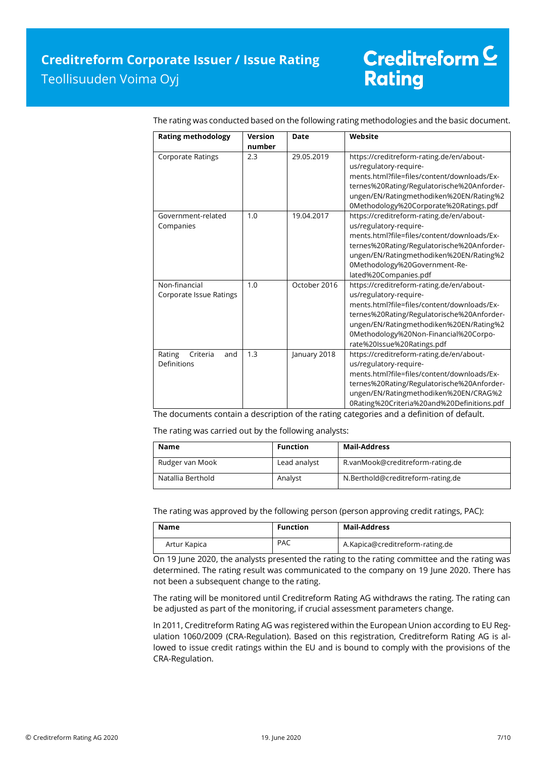| <b>Rating methodology</b>                | <b>Version</b><br>number | Date         | Website                                                                                                                                                                                                                                                                           |
|------------------------------------------|--------------------------|--------------|-----------------------------------------------------------------------------------------------------------------------------------------------------------------------------------------------------------------------------------------------------------------------------------|
| <b>Corporate Ratings</b>                 | 2.3                      | 29.05.2019   | https://creditreform-rating.de/en/about-<br>us/regulatory-require-<br>ments.html?file=files/content/downloads/Ex-<br>ternes%20Rating/Regulatorische%20Anforder-<br>ungen/EN/Ratingmethodiken%20EN/Rating%2<br>0Methodology%20Corporate%20Ratings.pdf                              |
| Government-related<br>Companies          | 1.0                      | 19.04.2017   | https://creditreform-rating.de/en/about-<br>us/regulatory-require-<br>ments.html?file=files/content/downloads/Ex-<br>ternes%20Rating/Regulatorische%20Anforder-<br>ungen/EN/Ratingmethodiken%20EN/Rating%2<br>0Methodology%20Government-Re-<br>lated%20Companies.pdf              |
| Non-financial<br>Corporate Issue Ratings | 1.0                      | October 2016 | https://creditreform-rating.de/en/about-<br>us/regulatory-require-<br>ments.html?file=files/content/downloads/Ex-<br>ternes%20Rating/Regulatorische%20Anforder-<br>ungen/EN/Ratingmethodiken%20EN/Rating%2<br>0Methodology%20Non-Financial%20Corpo-<br>rate%20Issue%20Ratings.pdf |
| Rating<br>Criteria<br>and<br>Definitions | 1.3                      | January 2018 | https://creditreform-rating.de/en/about-<br>us/regulatory-require-<br>ments.html?file=files/content/downloads/Ex-<br>ternes%20Rating/Regulatorische%20Anforder-<br>ungen/EN/Ratingmethodiken%20EN/CRAG%2<br>0Rating%20Criteria%20and%20Definitions.pdf                            |

The rating was conducted based on the following rating methodologies and the basic document.

The documents contain a description of the rating categories and a definition of default.

The rating was carried out by the following analysts:

| Name              | <b>Function</b> | Mail-Address                      |
|-------------------|-----------------|-----------------------------------|
| Rudger van Mook   | Lead analyst    | R.vanMook@creditreform-rating.de  |
| Natallia Berthold | Analyst         | N.Berthold@creditreform-rating.de |

The rating was approved by the following person (person approving credit ratings, PAC):

| Name         | <b>Function</b> | Mail-Address                    |
|--------------|-----------------|---------------------------------|
| Artur Kapica | <b>PAC</b>      | A.Kapica@creditreform-rating.de |

On 19 June 2020, the analysts presented the rating to the rating committee and the rating was determined. The rating result was communicated to the company on 19 June 2020. There has not been a subsequent change to the rating.

The rating will be monitored until Creditreform Rating AG withdraws the rating. The rating can be adjusted as part of the monitoring, if crucial assessment parameters change.

In 2011, Creditreform Rating AG was registered within the European Union according to EU Regulation 1060/2009 (CRA-Regulation). Based on this registration, Creditreform Rating AG is allowed to issue credit ratings within the EU and is bound to comply with the provisions of the CRA-Regulation.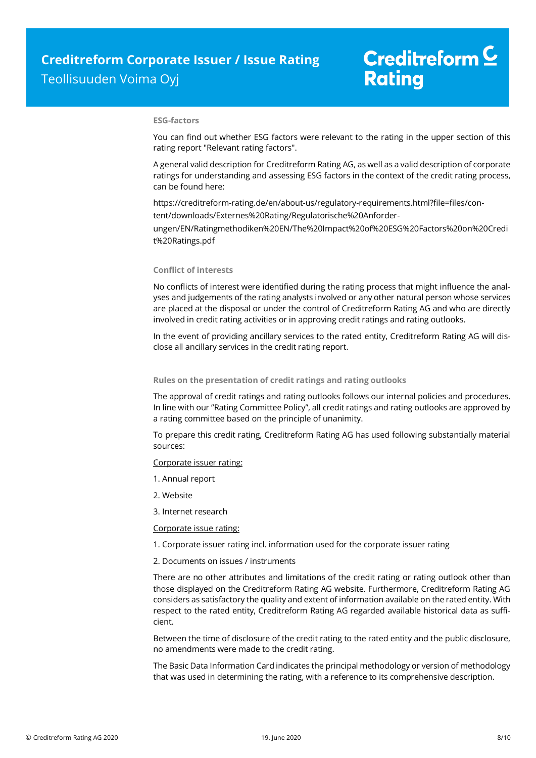### **ESG-factors**

You can find out whether ESG factors were relevant to the rating in the upper section of this rating report "Relevant rating factors".

A general valid description for Creditreform Rating AG, as well as a valid description of corporate ratings for understanding and assessing ESG factors in the context of the credit rating process, can be found here:

https://creditreform-rating.de/en/about-us/regulatory-requirements.html?file=files/content/downloads/Externes%20Rating/Regulatorische%20Anforder-

ungen/EN/Ratingmethodiken%20EN/The%20Impact%20of%20ESG%20Factors%20on%20Credi t%20Ratings.pdf

### **Conflict of interests**

No conflicts of interest were identified during the rating process that might influence the analyses and judgements of the rating analysts involved or any other natural person whose services are placed at the disposal or under the control of Creditreform Rating AG and who are directly involved in credit rating activities or in approving credit ratings and rating outlooks.

In the event of providing ancillary services to the rated entity, Creditreform Rating AG will disclose all ancillary services in the credit rating report.

#### **Rules on the presentation of credit ratings and rating outlooks**

The approval of credit ratings and rating outlooks follows our internal policies and procedures. In line with our "Rating Committee Policy", all credit ratings and rating outlooks are approved by a rating committee based on the principle of unanimity.

To prepare this credit rating, Creditreform Rating AG has used following substantially material sources:

#### Corporate issuer rating:

- 1. Annual report
- 2. Website
- 3. Internet research

### Corporate issue rating:

1. Corporate issuer rating incl. information used for the corporate issuer rating

### 2. Documents on issues / instruments

There are no other attributes and limitations of the credit rating or rating outlook other than those displayed on the Creditreform Rating AG website. Furthermore, Creditreform Rating AG considers as satisfactory the quality and extent of information available on the rated entity. With respect to the rated entity, Creditreform Rating AG regarded available historical data as sufficient.

Between the time of disclosure of the credit rating to the rated entity and the public disclosure, no amendments were made to the credit rating.

The Basic Data Information Card indicates the principal methodology or version of methodology that was used in determining the rating, with a reference to its comprehensive description.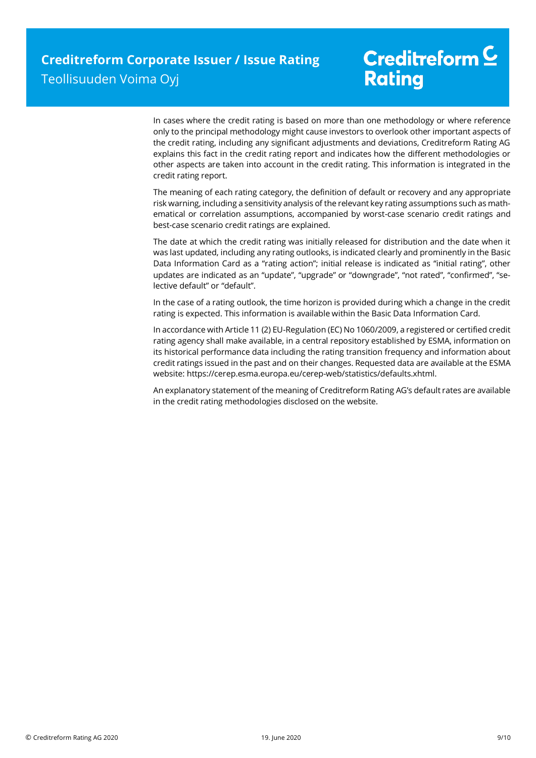In cases where the credit rating is based on more than one methodology or where reference only to the principal methodology might cause investors to overlook other important aspects of the credit rating, including any significant adjustments and deviations, Creditreform Rating AG explains this fact in the credit rating report and indicates how the different methodologies or other aspects are taken into account in the credit rating. This information is integrated in the credit rating report.

The meaning of each rating category, the definition of default or recovery and any appropriate risk warning, including a sensitivity analysis of the relevant key rating assumptions such as mathematical or correlation assumptions, accompanied by worst-case scenario credit ratings and best-case scenario credit ratings are explained.

The date at which the credit rating was initially released for distribution and the date when it was last updated, including any rating outlooks, is indicated clearly and prominently in the Basic Data Information Card as a "rating action"; initial release is indicated as "initial rating", other updates are indicated as an "update", "upgrade" or "downgrade", "not rated", "confirmed", "selective default" or "default".

In the case of a rating outlook, the time horizon is provided during which a change in the credit rating is expected. This information is available within the Basic Data Information Card.

In accordance with Article 11 (2) EU-Regulation (EC) No 1060/2009, a registered or certified credit rating agency shall make available, in a central repository established by ESMA, information on its historical performance data including the rating transition frequency and information about credit ratings issued in the past and on their changes. Requested data are available at the ESMA website: https://cerep.esma.europa.eu/cerep-web/statistics/defaults.xhtml.

An explanatory statement of the meaning of Creditreform Rating AG's default rates are available in the credit rating methodologies disclosed on the website.